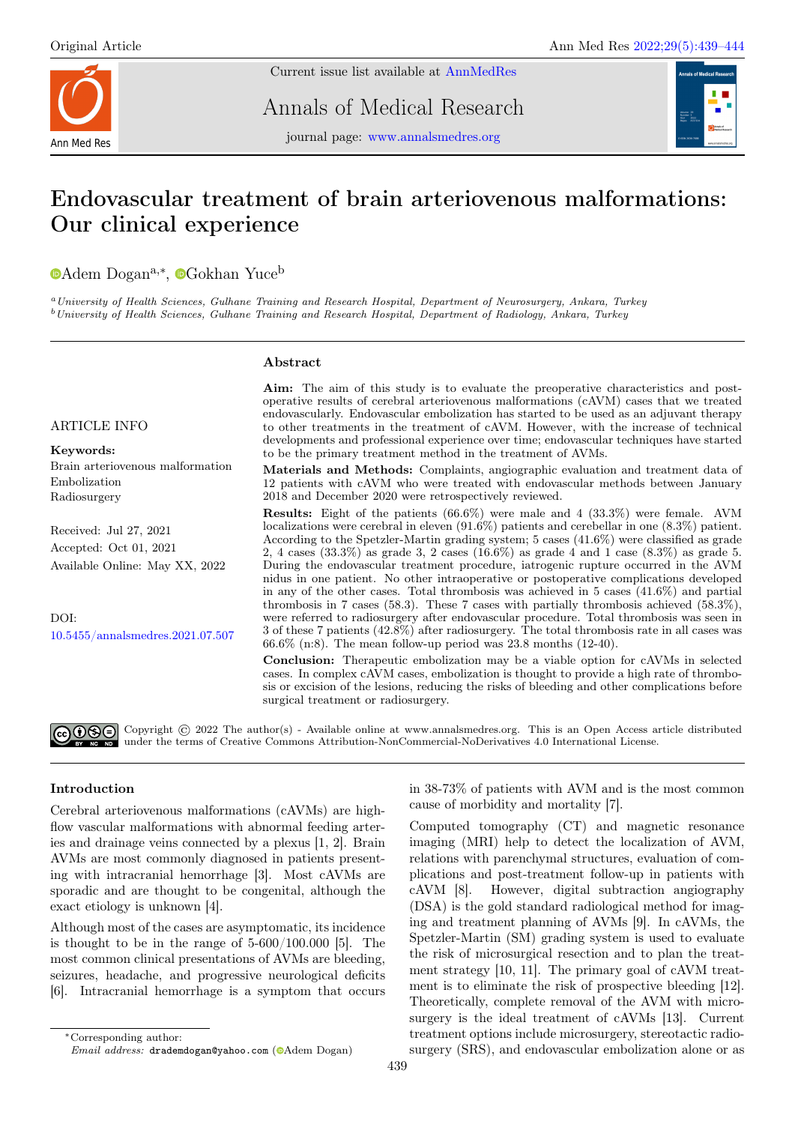

Current issue list available at [AnnMedRes](https://annalsmedres.org/index.php/aomr/issue/view/163)

Annals of Medical Research



journal page: [www.annalsmedres.org](https://www.annalsmedres.org)

# Endovascular treatment of brain arteriovenous malformations: Our clinical experience

[A](https://orcid.org/0000-0003-0933-6072)dem Dogan<sup>a,∗</sup>, <sup>o</sup>[G](https://orcid.org/0000-0003-3546-7965)okhan Yuce<sup>b</sup>

<sup>a</sup>University of Health Sciences, Gulhane Training and Research Hospital, Department of Neurosurgery, Ankara, Turkey <sup>b</sup>University of Health Sciences, Gulhane Training and Research Hospital, Department of Radiology, Ankara, Turkey

# Abstract

# ARTICLE INFO

Keywords: Brain arteriovenous malformation Embolization Radiosurgery

Received: Jul 27, 2021 Accepted: Oct 01, 2021 Available Online: May XX, 2022

DOI: [10.5455/annalsmedres.2021.07.507](https://doi.org/10.5455/annalsmedres.2021.07.507)

Aim: The aim of this study is to evaluate the preoperative characteristics and postoperative results of cerebral arteriovenous malformations (cAVM) cases that we treated endovascularly. Endovascular embolization has started to be used as an adjuvant therapy to other treatments in the treatment of cAVM. However, with the increase of technical developments and professional experience over time; endovascular techniques have started to be the primary treatment method in the treatment of AVMs.

Materials and Methods: Complaints, angiographic evaluation and treatment data of 12 patients with cAVM who were treated with endovascular methods between January 2018 and December 2020 were retrospectively reviewed.

Results: Eight of the patients (66.6%) were male and 4 (33.3%) were female. AVM localizations were cerebral in eleven (91.6%) patients and cerebellar in one (8.3%) patient. According to the Spetzler-Martin grading system; 5 cases (41.6%) were classified as grade 2, 4 cases (33.3%) as grade 3, 2 cases (16.6%) as grade 4 and 1 case (8.3%) as grade 5. During the endovascular treatment procedure, iatrogenic rupture occurred in the AVM nidus in one patient. No other intraoperative or postoperative complications developed in any of the other cases. Total thrombosis was achieved in 5 cases (41.6%) and partial thrombosis in 7 cases (58.3). These 7 cases with partially thrombosis achieved (58.3%), were referred to radiosurgery after endovascular procedure. Total thrombosis was seen in 3 of these 7 patients (42.8%) after radiosurgery. The total thrombosis rate in all cases was 66.6% (n:8). The mean follow-up period was 23.8 months (12-40).

Conclusion: Therapeutic embolization may be a viable option for cAVMs in selected cases. In complex cAVM cases, embolization is thought to provide a high rate of thrombosis or excision of the lesions, reducing the risks of bleeding and other complications before surgical treatment or radiosurgery.

බගමම Copyright © 2022 The author(s) - Available online at www.annalsmedres.org. This is an Open Access article distributed under the terms of Creative Commons Attribution-NonCommercial-NoDerivatives 4.0 International License.

# Introduction

Cerebral arteriovenous malformations (cAVMs) are highflow vascular malformations with abnormal feeding arteries and drainage veins connected by a plexus [1, 2]. Brain AVMs are most commonly diagnosed in patients presenting with intracranial hemorrhage [3]. Most cAVMs are sporadic and are thought to be congenital, although the exact etiology is unknown [4].

Although most of the cases are asymptomatic, its incidence is thought to be in the range of 5-600/100.000 [5]. The most common clinical presentations of AVMs are bleeding, seizures, headache, and progressive neurological deficits [6]. Intracranial hemorrhage is a symptom that occurs

Computed tomography (CT) and magnetic resonance imaging (MRI) help to detect the localization of AVM, relations with parenchymal structures, evaluation of complications and post-treatment follow-up in patients with cAVM [8]. However, digital subtraction angiography (DSA) is the gold standard radiological method for imaging and treatment planning of AVMs [9]. In cAVMs, the Spetzler-Martin (SM) grading system is used to evaluate the risk of microsurgical resection and to plan the treatment strategy [10, 11]. The primary goal of cAVM treatment is to eliminate the risk of prospective bleeding [12]. Theoretically, complete removal of the AVM with microsurgery is the ideal treatment of cAVMs [13]. Current treatment options include microsurgery, stereotactic radiosurgery (SRS), and endovascular embolization alone or as

in 38-73% of patients with AVM and is the most common cause of morbidity and mortality [7].

<sup>∗</sup>Corresponding author: Email address: drademdogan@yahoo.com (@[A](https://orcid.org/0000-0003-0933-6072)dem Dogan)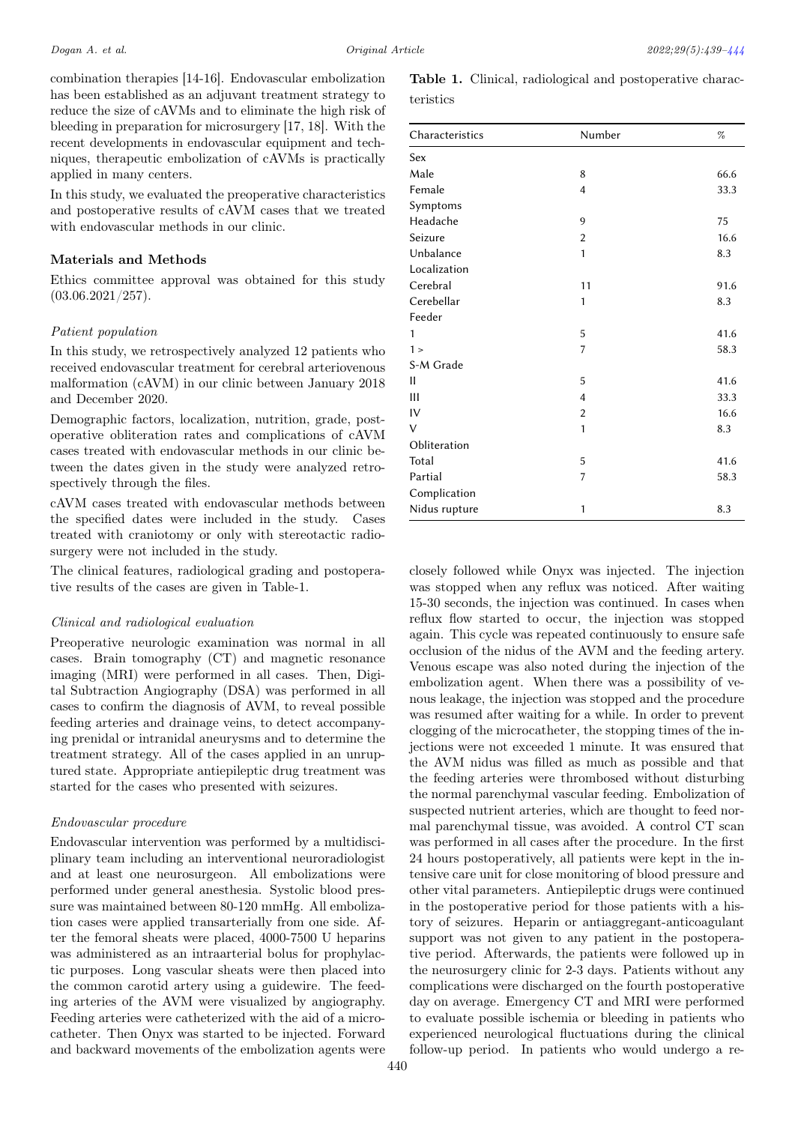combination therapies [14-16]. Endovascular embolization has been established as an adjuvant treatment strategy to reduce the size of cAVMs and to eliminate the high risk of bleeding in preparation for microsurgery [17, 18]. With the recent developments in endovascular equipment and techniques, therapeutic embolization of cAVMs is practically applied in many centers.

In this study, we evaluated the preoperative characteristics and postoperative results of cAVM cases that we treated with endovascular methods in our clinic.

# Materials and Methods

Ethics committee approval was obtained for this study  $(03.06.2021/257).$ 

#### Patient population

In this study, we retrospectively analyzed 12 patients who received endovascular treatment for cerebral arteriovenous malformation (cAVM) in our clinic between January 2018 and December 2020.

Demographic factors, localization, nutrition, grade, postoperative obliteration rates and complications of cAVM cases treated with endovascular methods in our clinic between the dates given in the study were analyzed retrospectively through the files.

cAVM cases treated with endovascular methods between the specified dates were included in the study. Cases treated with craniotomy or only with stereotactic radiosurgery were not included in the study.

The clinical features, radiological grading and postoperative results of the cases are given in Table-1.

## Clinical and radiological evaluation

Preoperative neurologic examination was normal in all cases. Brain tomography (CT) and magnetic resonance imaging (MRI) were performed in all cases. Then, Digital Subtraction Angiography (DSA) was performed in all cases to confirm the diagnosis of AVM, to reveal possible feeding arteries and drainage veins, to detect accompanying prenidal or intranidal aneurysms and to determine the treatment strategy. All of the cases applied in an unruptured state. Appropriate antiepileptic drug treatment was started for the cases who presented with seizures.

## Endovascular procedure

Endovascular intervention was performed by a multidisciplinary team including an interventional neuroradiologist and at least one neurosurgeon. All embolizations were performed under general anesthesia. Systolic blood pressure was maintained between 80-120 mmHg. All embolization cases were applied transarterially from one side. After the femoral sheats were placed, 4000-7500 U heparins was administered as an intraarterial bolus for prophylactic purposes. Long vascular sheats were then placed into the common carotid artery using a guidewire. The feeding arteries of the AVM were visualized by angiography. Feeding arteries were catheterized with the aid of a microcatheter. Then Onyx was started to be injected. Forward and backward movements of the embolization agents were

|           |  | <b>Table 1.</b> Clinical, radiological and postoperative charac- |  |
|-----------|--|------------------------------------------------------------------|--|
| teristics |  |                                                                  |  |

| Characteristics | Number         | $\%$ |  |  |  |
|-----------------|----------------|------|--|--|--|
| Sex             |                |      |  |  |  |
| Male            | 8              | 66.6 |  |  |  |
| Female          | $\overline{4}$ | 33.3 |  |  |  |
| Symptoms        |                |      |  |  |  |
| Headache        | 9              | 75   |  |  |  |
| Seizure         | 2              | 16.6 |  |  |  |
| Unbalance       | 1              | 8.3  |  |  |  |
| Localization    |                |      |  |  |  |
| Cerebral        | 11             | 91.6 |  |  |  |
| Cerebellar      | 1              | 8.3  |  |  |  |
| Feeder          |                |      |  |  |  |
| 1               | 5              | 41.6 |  |  |  |
| $1\geq$         | 7              | 58.3 |  |  |  |
| S-M Grade       |                |      |  |  |  |
| П               | 5              | 41.6 |  |  |  |
| Ш               | $\overline{4}$ | 33.3 |  |  |  |
| IV              | $\overline{2}$ | 16.6 |  |  |  |
| $\vee$          | $\mathbf{1}$   | 8.3  |  |  |  |
| Obliteration    |                |      |  |  |  |
| Total           | 5              | 41.6 |  |  |  |
| Partial         | 7              | 58.3 |  |  |  |
| Complication    |                |      |  |  |  |
| Nidus rupture   | 1              | 8.3  |  |  |  |

closely followed while Onyx was injected. The injection was stopped when any reflux was noticed. After waiting 15-30 seconds, the injection was continued. In cases when reflux flow started to occur, the injection was stopped again. This cycle was repeated continuously to ensure safe occlusion of the nidus of the AVM and the feeding artery. Venous escape was also noted during the injection of the embolization agent. When there was a possibility of venous leakage, the injection was stopped and the procedure was resumed after waiting for a while. In order to prevent clogging of the microcatheter, the stopping times of the injections were not exceeded 1 minute. It was ensured that the AVM nidus was filled as much as possible and that the feeding arteries were thrombosed without disturbing the normal parenchymal vascular feeding. Embolization of suspected nutrient arteries, which are thought to feed normal parenchymal tissue, was avoided. A control CT scan was performed in all cases after the procedure. In the first 24 hours postoperatively, all patients were kept in the intensive care unit for close monitoring of blood pressure and other vital parameters. Antiepileptic drugs were continued in the postoperative period for those patients with a history of seizures. Heparin or antiaggregant-anticoagulant support was not given to any patient in the postoperative period. Afterwards, the patients were followed up in the neurosurgery clinic for 2-3 days. Patients without any complications were discharged on the fourth postoperative day on average. Emergency CT and MRI were performed to evaluate possible ischemia or bleeding in patients who experienced neurological fluctuations during the clinical follow-up period. In patients who would undergo a re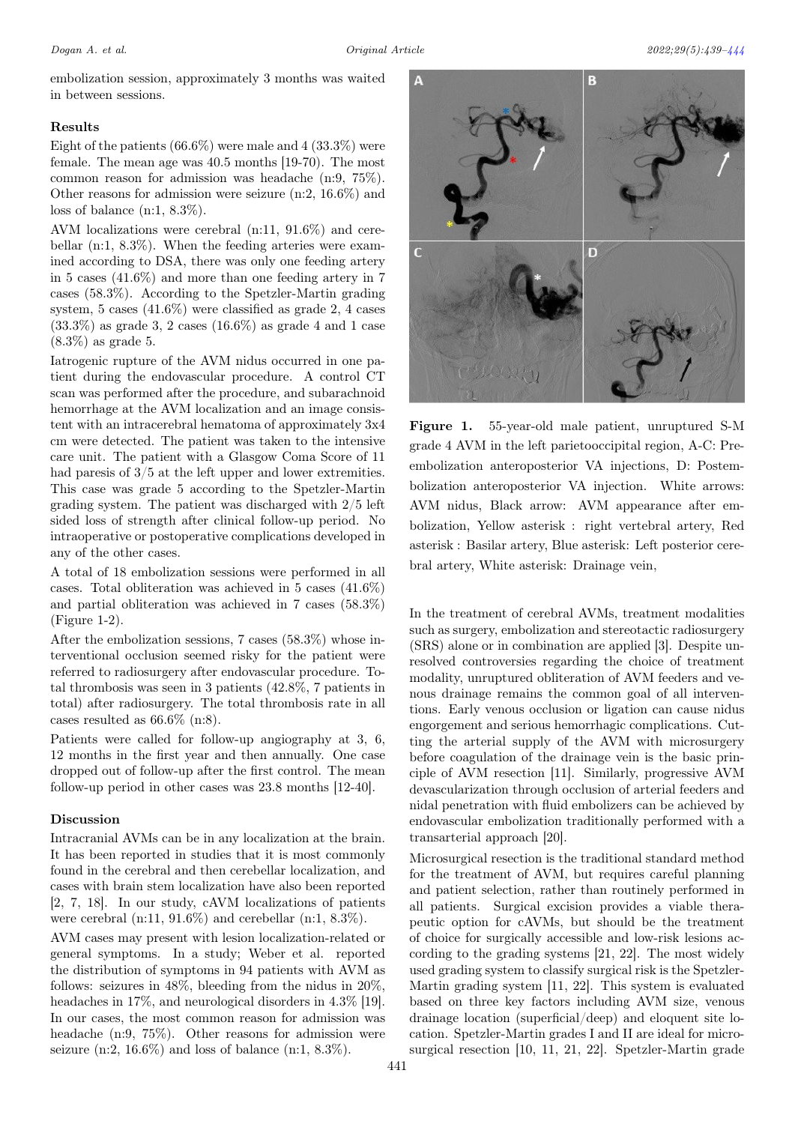embolization session, approximately 3 months was waited in between sessions.

## Results

Eight of the patients  $(66.6\%)$  were male and  $(433.3\%)$  were female. The mean age was 40.5 months [19-70). The most common reason for admission was headache (n:9, 75%). Other reasons for admission were seizure (n:2, 16.6%) and loss of balance (n:1, 8.3%).

AVM localizations were cerebral (n:11, 91.6%) and cerebellar (n:1, 8.3%). When the feeding arteries were examined according to DSA, there was only one feeding artery in 5 cases (41.6%) and more than one feeding artery in 7 cases (58.3%). According to the Spetzler-Martin grading system, 5 cases (41.6%) were classified as grade 2, 4 cases  $(33.3\%)$  as grade 3, 2 cases  $(16.6\%)$  as grade 4 and 1 case (8.3%) as grade 5.

Iatrogenic rupture of the AVM nidus occurred in one patient during the endovascular procedure. A control CT scan was performed after the procedure, and subarachnoid hemorrhage at the AVM localization and an image consistent with an intracerebral hematoma of approximately 3x4 cm were detected. The patient was taken to the intensive care unit. The patient with a Glasgow Coma Score of 11 had paresis of  $3/5$  at the left upper and lower extremities. This case was grade 5 according to the Spetzler-Martin grading system. The patient was discharged with 2/5 left sided loss of strength after clinical follow-up period. No intraoperative or postoperative complications developed in any of the other cases.

A total of 18 embolization sessions were performed in all cases. Total obliteration was achieved in 5 cases (41.6%) and partial obliteration was achieved in 7 cases (58.3%) (Figure 1-2).

After the embolization sessions, 7 cases (58.3%) whose interventional occlusion seemed risky for the patient were referred to radiosurgery after endovascular procedure. Total thrombosis was seen in 3 patients (42.8%, 7 patients in total) after radiosurgery. The total thrombosis rate in all cases resulted as 66.6% (n:8).

Patients were called for follow-up angiography at 3, 6, 12 months in the first year and then annually. One case dropped out of follow-up after the first control. The mean follow-up period in other cases was 23.8 months [12-40].

#### Discussion

Intracranial AVMs can be in any localization at the brain. It has been reported in studies that it is most commonly found in the cerebral and then cerebellar localization, and cases with brain stem localization have also been reported [2, 7, 18]. In our study, cAVM localizations of patients were cerebral (n:11, 91.6%) and cerebellar (n:1, 8.3%).

AVM cases may present with lesion localization-related or general symptoms. In a study; Weber et al. reported the distribution of symptoms in 94 patients with AVM as follows: seizures in 48%, bleeding from the nidus in 20%, headaches in 17%, and neurological disorders in 4.3% [19]. In our cases, the most common reason for admission was headache (n:9, 75%). Other reasons for admission were seizure (n:2,  $16.6\%$ ) and loss of balance (n:1,  $8.3\%$ ).



Figure 1. 55-year-old male patient, unruptured S-M grade 4 AVM in the left parietooccipital region, A-C: Preembolization anteroposterior VA injections, D: Postembolization anteroposterior VA injection. White arrows: AVM nidus, Black arrow: AVM appearance after embolization, Yellow asterisk : right vertebral artery, Red asterisk : Basilar artery, Blue asterisk: Left posterior cerebral artery, White asterisk: Drainage vein,

In the treatment of cerebral AVMs, treatment modalities such as surgery, embolization and stereotactic radiosurgery (SRS) alone or in combination are applied [3]. Despite unresolved controversies regarding the choice of treatment modality, unruptured obliteration of AVM feeders and venous drainage remains the common goal of all interventions. Early venous occlusion or ligation can cause nidus engorgement and serious hemorrhagic complications. Cutting the arterial supply of the AVM with microsurgery before coagulation of the drainage vein is the basic principle of AVM resection [11]. Similarly, progressive AVM devascularization through occlusion of arterial feeders and nidal penetration with fluid embolizers can be achieved by endovascular embolization traditionally performed with a transarterial approach [20].

Microsurgical resection is the traditional standard method for the treatment of AVM, but requires careful planning and patient selection, rather than routinely performed in all patients. Surgical excision provides a viable therapeutic option for cAVMs, but should be the treatment of choice for surgically accessible and low-risk lesions according to the grading systems [21, 22]. The most widely used grading system to classify surgical risk is the Spetzler-Martin grading system [11, 22]. This system is evaluated based on three key factors including AVM size, venous drainage location (superficial/deep) and eloquent site location. Spetzler-Martin grades I and II are ideal for microsurgical resection [10, 11, 21, 22]. Spetzler-Martin grade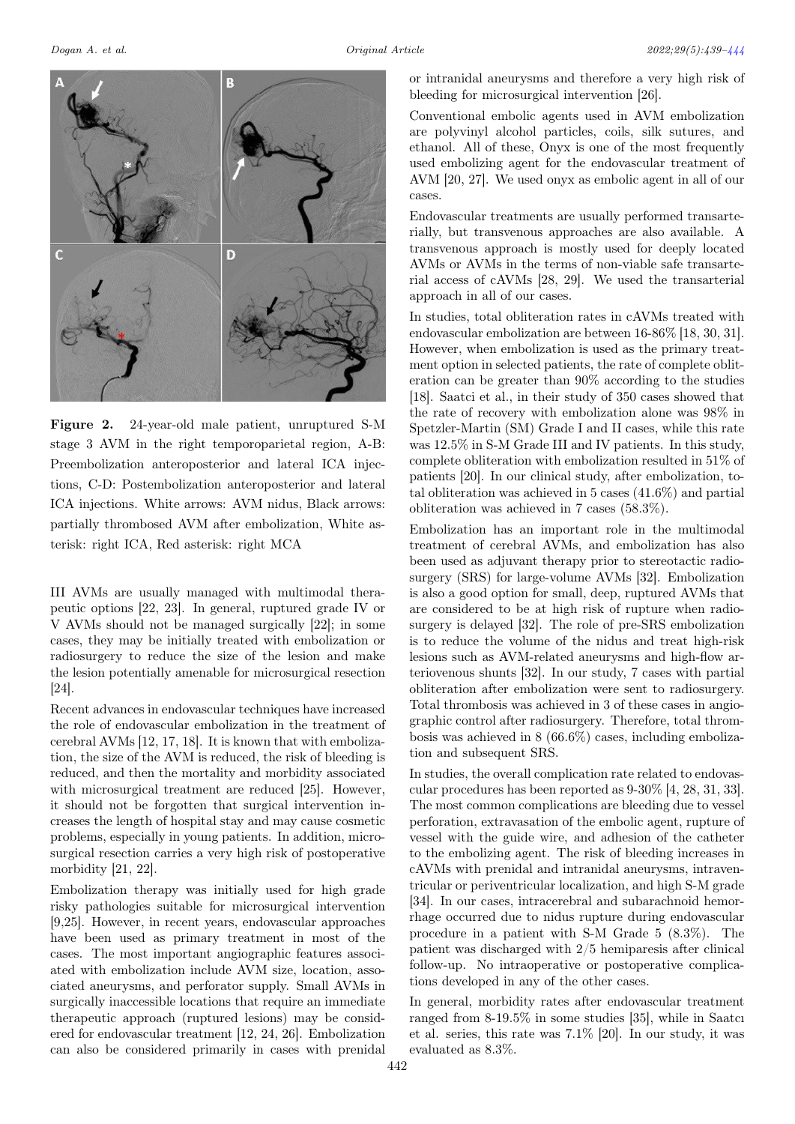<span id="page-3-0"></span>

Figure 2. 24-year-old male patient, unruptured S-M stage 3 AVM in the right temporoparietal region, A-B: Preembolization anteroposterior and lateral ICA injections, C-D: Postembolization anteroposterior and lateral ICA injections. White arrows: AVM nidus, Black arrows: partially thrombosed AVM after embolization, White asterisk: right ICA, Red asterisk: right MCA

III AVMs are usually managed with multimodal therapeutic options [22, 23]. In general, ruptured grade IV or V AVMs should not be managed surgically [22]; in some cases, they may be initially treated with embolization or radiosurgery to reduce the size of the lesion and make the lesion potentially amenable for microsurgical resection [24].

Recent advances in endovascular techniques have increased the role of endovascular embolization in the treatment of cerebral AVMs [12, 17, 18]. It is known that with embolization, the size of the AVM is reduced, the risk of bleeding is reduced, and then the mortality and morbidity associated with microsurgical treatment are reduced [25]. However, it should not be forgotten that surgical intervention increases the length of hospital stay and may cause cosmetic problems, especially in young patients. In addition, microsurgical resection carries a very high risk of postoperative morbidity [21, 22].

Embolization therapy was initially used for high grade risky pathologies suitable for microsurgical intervention [9,25]. However, in recent years, endovascular approaches have been used as primary treatment in most of the cases. The most important angiographic features associated with embolization include AVM size, location, associated aneurysms, and perforator supply. Small AVMs in surgically inaccessible locations that require an immediate therapeutic approach (ruptured lesions) may be considered for endovascular treatment [12, 24, 26]. Embolization can also be considered primarily in cases with prenidal

or intranidal aneurysms and therefore a very high risk of bleeding for microsurgical intervention [26].

Conventional embolic agents used in AVM embolization are polyvinyl alcohol particles, coils, silk sutures, and ethanol. All of these, Onyx is one of the most frequently used embolizing agent for the endovascular treatment of AVM [20, 27]. We used onyx as embolic agent in all of our cases.

Endovascular treatments are usually performed transarterially, but transvenous approaches are also available. A transvenous approach is mostly used for deeply located AVMs or AVMs in the terms of non-viable safe transarterial access of cAVMs [28, 29]. We used the transarterial approach in all of our cases.

In studies, total obliteration rates in cAVMs treated with endovascular embolization are between 16-86% [18, 30, 31]. However, when embolization is used as the primary treatment option in selected patients, the rate of complete obliteration can be greater than 90% according to the studies [18]. Saatci et al., in their study of 350 cases showed that the rate of recovery with embolization alone was 98% in Spetzler-Martin (SM) Grade I and II cases, while this rate was 12.5% in S-M Grade III and IV patients. In this study, complete obliteration with embolization resulted in 51% of patients [20]. In our clinical study, after embolization, total obliteration was achieved in 5 cases (41.6%) and partial obliteration was achieved in 7 cases (58.3%).

Embolization has an important role in the multimodal treatment of cerebral AVMs, and embolization has also been used as adjuvant therapy prior to stereotactic radiosurgery (SRS) for large-volume AVMs [32]. Embolization is also a good option for small, deep, ruptured AVMs that are considered to be at high risk of rupture when radiosurgery is delayed [32]. The role of pre-SRS embolization is to reduce the volume of the nidus and treat high-risk lesions such as AVM-related aneurysms and high-flow arteriovenous shunts [32]. In our study, 7 cases with partial obliteration after embolization were sent to radiosurgery. Total thrombosis was achieved in 3 of these cases in angiographic control after radiosurgery. Therefore, total thrombosis was achieved in 8 (66.6%) cases, including embolization and subsequent SRS.

In studies, the overall complication rate related to endovascular procedures has been reported as 9-30% [4, 28, 31, 33]. The most common complications are bleeding due to vessel perforation, extravasation of the embolic agent, rupture of vessel with the guide wire, and adhesion of the catheter to the embolizing agent. The risk of bleeding increases in cAVMs with prenidal and intranidal aneurysms, intraventricular or periventricular localization, and high S-M grade [34]. In our cases, intracerebral and subarachnoid hemorrhage occurred due to nidus rupture during endovascular procedure in a patient with S-M Grade 5 (8.3%). The patient was discharged with 2/5 hemiparesis after clinical follow-up. No intraoperative or postoperative complications developed in any of the other cases.

In general, morbidity rates after endovascular treatment ranged from 8-19.5% in some studies [35], while in Saatcı et al. series, this rate was 7.1% [20]. In our study, it was evaluated as 8.3%.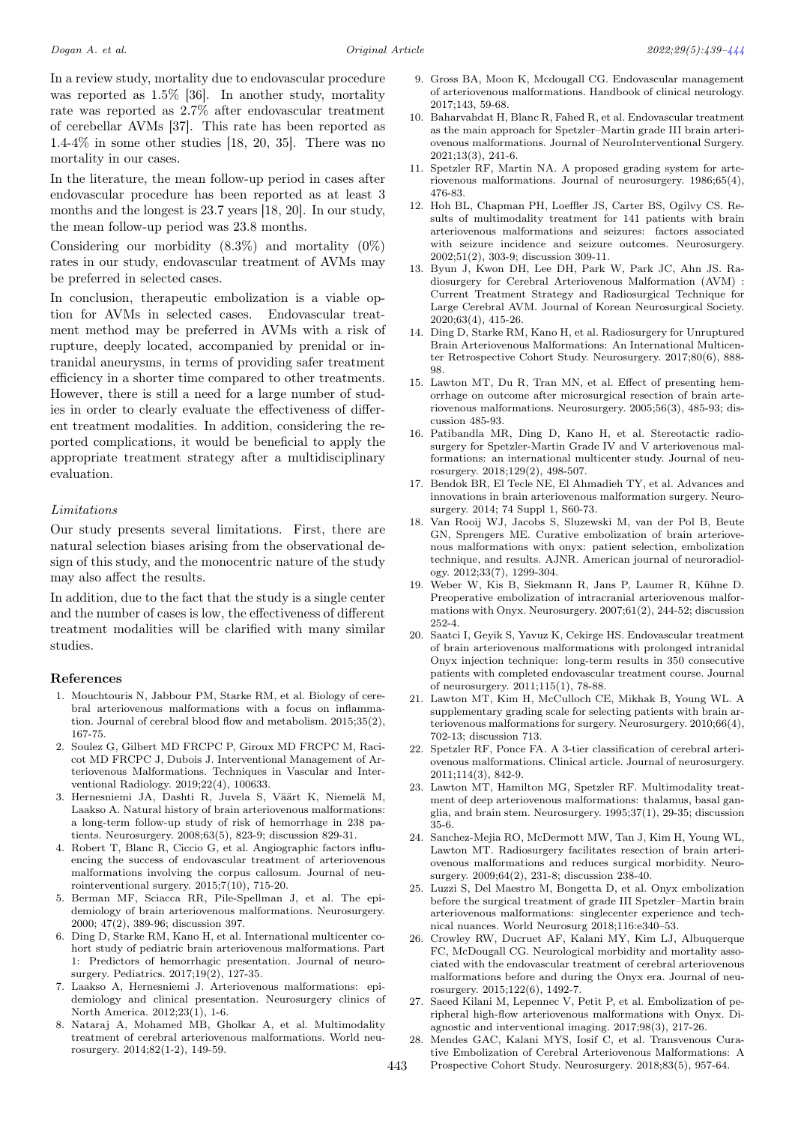In a review study, mortality due to endovascular procedure was reported as 1.5% [36]. In another study, mortality rate was reported as 2.7% after endovascular treatment of cerebellar AVMs [37]. This rate has been reported as 1.4-4% in some other studies [18, 20, 35]. There was no mortality in our cases.

In the literature, the mean follow-up period in cases after endovascular procedure has been reported as at least 3 months and the longest is 23.7 years [18, 20]. In our study, the mean follow-up period was 23.8 months.

Considering our morbidity  $(8.3\%)$  and mortality  $(0\%)$ rates in our study, endovascular treatment of AVMs may be preferred in selected cases.

In conclusion, therapeutic embolization is a viable option for AVMs in selected cases. Endovascular treatment method may be preferred in AVMs with a risk of rupture, deeply located, accompanied by prenidal or intranidal aneurysms, in terms of providing safer treatment efficiency in a shorter time compared to other treatments. However, there is still a need for a large number of studies in order to clearly evaluate the effectiveness of different treatment modalities. In addition, considering the reported complications, it would be beneficial to apply the appropriate treatment strategy after a multidisciplinary evaluation.

#### Limitations

Our study presents several limitations. First, there are natural selection biases arising from the observational design of this study, and the monocentric nature of the study may also affect the results.

In addition, due to the fact that the study is a single center and the number of cases is low, the effectiveness of different treatment modalities will be clarified with many similar studies.

### References

- 1. Mouchtouris N, Jabbour PM, Starke RM, et al. Biology of cerebral arteriovenous malformations with a focus on inflammation. Journal of cerebral blood flow and metabolism. 2015;35(2), 167-75.
- 2. Soulez G, Gilbert MD FRCPC P, Giroux MD FRCPC M, Racicot MD FRCPC J, Dubois J. Interventional Management of Arteriovenous Malformations. Techniques in Vascular and Interventional Radiology. 2019;22(4), 100633.
- 3. Hernesniemi JA, Dashti R, Juvela S, Väärt K, Niemelä M, Laakso A. Natural history of brain arteriovenous malformations: a long-term follow-up study of risk of hemorrhage in 238 patients. Neurosurgery. 2008;63(5), 823-9; discussion 829-31.
- 4. Robert T, Blanc R, Ciccio G, et al. Angiographic factors influencing the success of endovascular treatment of arteriovenous malformations involving the corpus callosum. Journal of neurointerventional surgery. 2015;7(10), 715-20.
- 5. Berman MF, Sciacca RR, Pile-Spellman J, et al. The epidemiology of brain arteriovenous malformations. Neurosurgery. 2000; 47(2), 389-96; discussion 397.
- 6. Ding D, Starke RM, Kano H, et al. International multicenter cohort study of pediatric brain arteriovenous malformations. Part 1: Predictors of hemorrhagic presentation. Journal of neurosurgery. Pediatrics. 2017;19(2), 127-35.
- 7. Laakso A, Hernesniemi J. Arteriovenous malformations: epidemiology and clinical presentation. Neurosurgery clinics of North America. 2012;23(1), 1-6.
- 8. Nataraj A, Mohamed MB, Gholkar A, et al. Multimodality treatment of cerebral arteriovenous malformations. World neurosurgery. 2014;82(1-2), 149-59.
- 9. Gross BA, Moon K, Mcdougall CG. Endovascular management of arteriovenous malformations. Handbook of clinical neurology. 2017;143, 59-68.
- 10. Baharvahdat H, Blanc R, Fahed R, et al. Endovascular treatment as the main approach for Spetzler–Martin grade III brain arteriovenous malformations. Journal of NeuroInterventional Surgery. 2021;13(3), 241-6.
- 11. Spetzler RF, Martin NA. A proposed grading system for arteriovenous malformations. Journal of neurosurgery. 1986;65(4), 476-83.
- 12. Hoh BL, Chapman PH, Loeffler JS, Carter BS, Ogilvy CS. Results of multimodality treatment for 141 patients with brain arteriovenous malformations and seizures: factors associated with seizure incidence and seizure outcomes. Neurosurgery. 2002;51(2), 303-9; discussion 309-11.
- 13. Byun J, Kwon DH, Lee DH, Park W, Park JC, Ahn JS. Radiosurgery for Cerebral Arteriovenous Malformation (AVM) : Current Treatment Strategy and Radiosurgical Technique for Large Cerebral AVM. Journal of Korean Neurosurgical Society. 2020;63(4), 415-26.
- 14. Ding D, Starke RM, Kano H, et al. Radiosurgery for Unruptured Brain Arteriovenous Malformations: An International Multicenter Retrospective Cohort Study. Neurosurgery. 2017;80(6), 888- 98.
- 15. Lawton MT, Du R, Tran MN, et al. Effect of presenting hemorrhage on outcome after microsurgical resection of brain arteriovenous malformations. Neurosurgery. 2005;56(3), 485-93; discussion 485-93.
- 16. Patibandla MR, Ding D, Kano H, et al. Stereotactic radiosurgery for Spetzler-Martin Grade IV and V arteriovenous malformations: an international multicenter study. Journal of neurosurgery. 2018;129(2), 498-507.
- 17. Bendok BR, El Tecle NE, El Ahmadieh TY, et al. Advances and innovations in brain arteriovenous malformation surgery. Neurosurgery. 2014; 74 Suppl 1, S60-73.
- 18. Van Rooij WJ, Jacobs S, Sluzewski M, van der Pol B, Beute GN, Sprengers ME. Curative embolization of brain arteriovenous malformations with onyx: patient selection, embolization technique, and results. AJNR. American journal of neuroradiology. 2012;33(7), 1299-304.
- 19. Weber W, Kis B, Siekmann R, Jans P, Laumer R, Kühne D. Preoperative embolization of intracranial arteriovenous malformations with Onyx. Neurosurgery. 2007;61(2), 244-52; discussion 252-4.
- 20. Saatci I, Geyik S, Yavuz K, Cekirge HS. Endovascular treatment of brain arteriovenous malformations with prolonged intranidal Onyx injection technique: long-term results in 350 consecutive patients with completed endovascular treatment course. Journal of neurosurgery. 2011;115(1), 78-88.
- 21. Lawton MT, Kim H, McCulloch CE, Mikhak B, Young WL. A supplementary grading scale for selecting patients with brain arteriovenous malformations for surgery. Neurosurgery. 2010;66(4), 702-13; discussion 713.
- 22. Spetzler RF, Ponce FA. A 3-tier classification of cerebral arteriovenous malformations. Clinical article. Journal of neurosurgery. 2011;114(3), 842-9.
- 23. Lawton MT, Hamilton MG, Spetzler RF. Multimodality treatment of deep arteriovenous malformations: thalamus, basal ganglia, and brain stem. Neurosurgery. 1995;37(1), 29-35; discussion 35-6.
- 24. Sanchez-Mejia RO, McDermott MW, Tan J, Kim H, Young WL, Lawton MT. Radiosurgery facilitates resection of brain arteriovenous malformations and reduces surgical morbidity. Neurosurgery. 2009;64(2), 231-8; discussion 238-40.
- 25. Luzzi S, Del Maestro M, Bongetta D, et al. Onyx embolization before the surgical treatment of grade III Spetzler–Martin brain arteriovenous malformations: singlecenter experience and technical nuances. World Neurosurg 2018;116:e340–53.
- 26. Crowley RW, Ducruet AF, Kalani MY, Kim LJ, Albuquerque FC, McDougall CG. Neurological morbidity and mortality associated with the endovascular treatment of cerebral arteriovenous malformations before and during the Onyx era. Journal of neurosurgery. 2015;122(6), 1492-7.
- 27. Saeed Kilani M, Lepennec V, Petit P, et al. Embolization of peripheral high-flow arteriovenous malformations with Onyx. Diagnostic and interventional imaging. 2017;98(3), 217-26.
- 28. Mendes GAC, Kalani MYS, Iosif C, et al. Transvenous Curative Embolization of Cerebral Arteriovenous Malformations: A 443 Prospective Cohort Study. Neurosurgery. 2018;83(5), 957-64.